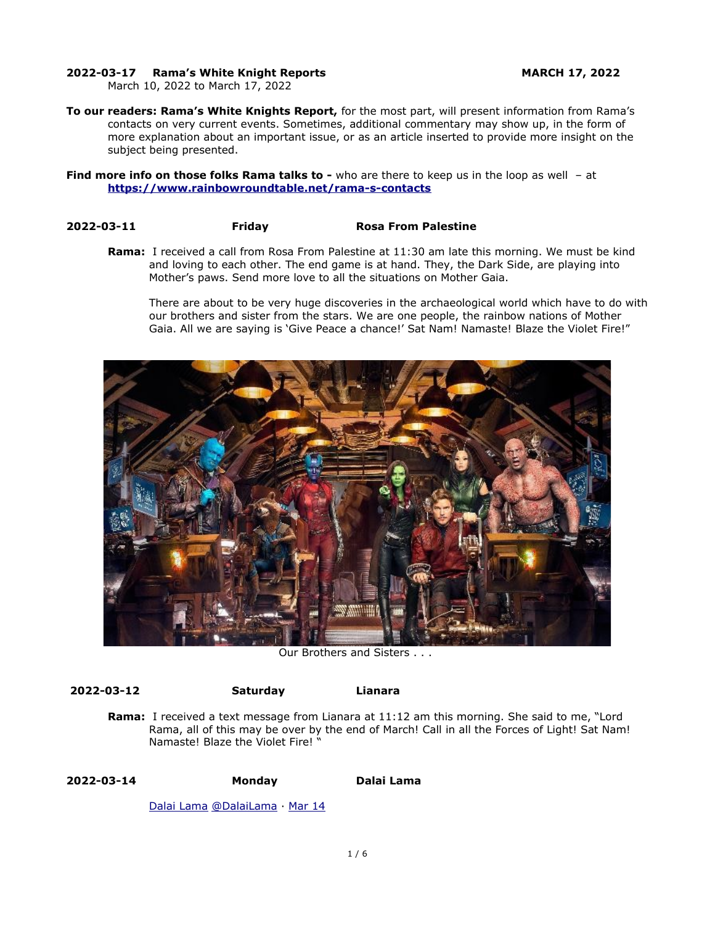### **2022-03-17 Rama's White Knight Reports MARCH 17, 2022**

March 10, 2022 to March 17, 2022

**To our readers: Rama's White Knights Report,** for the most part, will present information from Rama's contacts on very current events. Sometimes, additional commentary may show up, in the form of more explanation about an important issue, or as an article inserted to provide more insight on the subject being presented.

**Find more info on those folks Rama talks to -** who are there to keep us in the loop as well - at **<https://www.rainbowroundtable.net/rama-s-contacts>**

### **2022-03-11 Friday Rosa From Palestine**

**Rama:** I received a call from Rosa From Palestine at 11:30 am late this morning. We must be kind and loving to each other. The end game is at hand. They, the Dark Side, are playing into Mother's paws. Send more love to all the situations on Mother Gaia.

There are about to be very huge discoveries in the archaeological world which have to do with our brothers and sister from the stars. We are one people, the rainbow nations of Mother Gaia. All we are saying is 'Give Peace a chance!' Sat Nam! Namaste! Blaze the Violet Fire!"



Our Brothers and Sisters . . .

**2022-03-12 Saturday Lianara** 

**Rama:** I received a text message from Lianara at 11:12 am this morning. She said to me, "Lord Rama, all of this may be over by the end of March! Call in all the Forces of Light! Sat Nam! Namaste! Blaze the Violet Fire! "

## **2022-03-14 Monday Dalai Lama**

[Dalai Lama](https://twitter.com/DalaiLama) [@DalaiLama](https://twitter.com/DalaiLama) · [Mar 14](https://twitter.com/DalaiLama/status/1503306160749039624)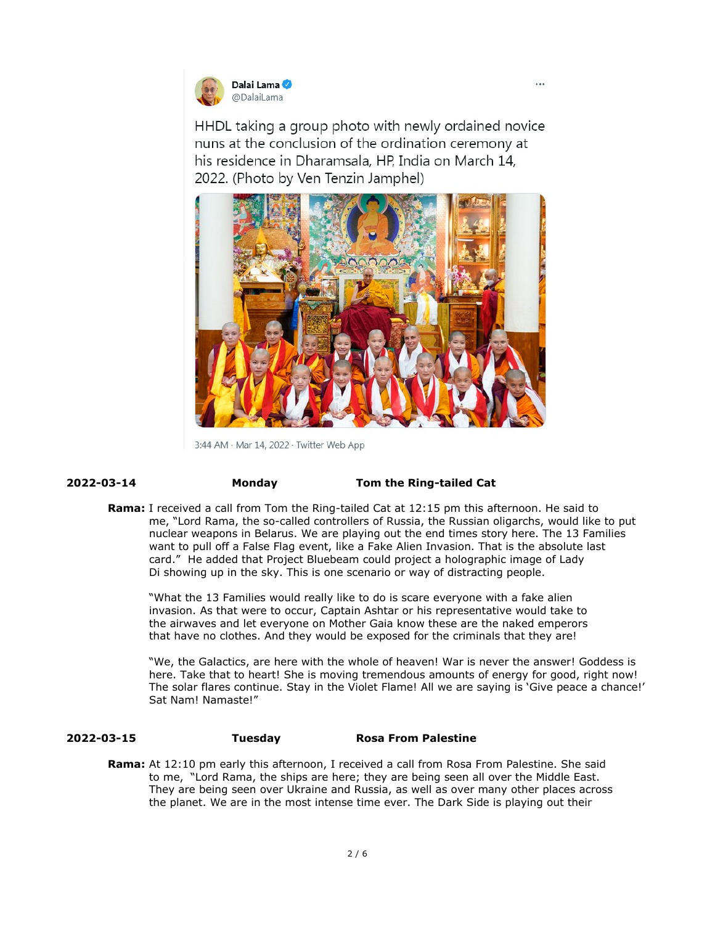

HHDL taking a group photo with newly ordained novice nuns at the conclusion of the ordination ceremony at his residence in Dharamsala, HP, India on March 14, 2022. (Photo by Ven Tenzin Jamphel)



3:44 AM · Mar 14, 2022 · Twitter Web App

### **2022-03-14 Monday Tom the Ring-tailed Cat**

**Rama:** I received a call from Tom the Ring-tailed Cat at 12:15 pm this afternoon. He said to me, "Lord Rama, the so-called controllers of Russia, the Russian oligarchs, would like to put nuclear weapons in Belarus. We are playing out the end times story here. The 13 Families want to pull off a False Flag event, like a Fake Alien Invasion. That is the absolute last card." He added that Project Bluebeam could project a holographic image of Lady Di showing up in the sky. This is one scenario or way of distracting people.

"What the 13 Families would really like to do is scare everyone with a fake alien invasion. As that were to occur, Captain Ashtar or his representative would take to the airwaves and let everyone on Mother Gaia know these are the naked emperors that have no clothes. And they would be exposed for the criminals that they are!

"We, the Galactics, are here with the whole of heaven! War is never the answer! Goddess is here. Take that to heart! She is moving tremendous amounts of energy for good, right now! The solar flares continue. Stay in the Violet Flame! All we are saying is 'Give peace a chance!' Sat Nam! Namaste!"

### **2022-03-15 Tuesday Rosa From Palestine**

**Rama:** At 12:10 pm early this afternoon, I received a call from Rosa From Palestine. She said to me, "Lord Rama, the ships are here; they are being seen all over the Middle East. They are being seen over Ukraine and Russia, as well as over many other places across the planet. We are in the most intense time ever. The Dark Side is playing out their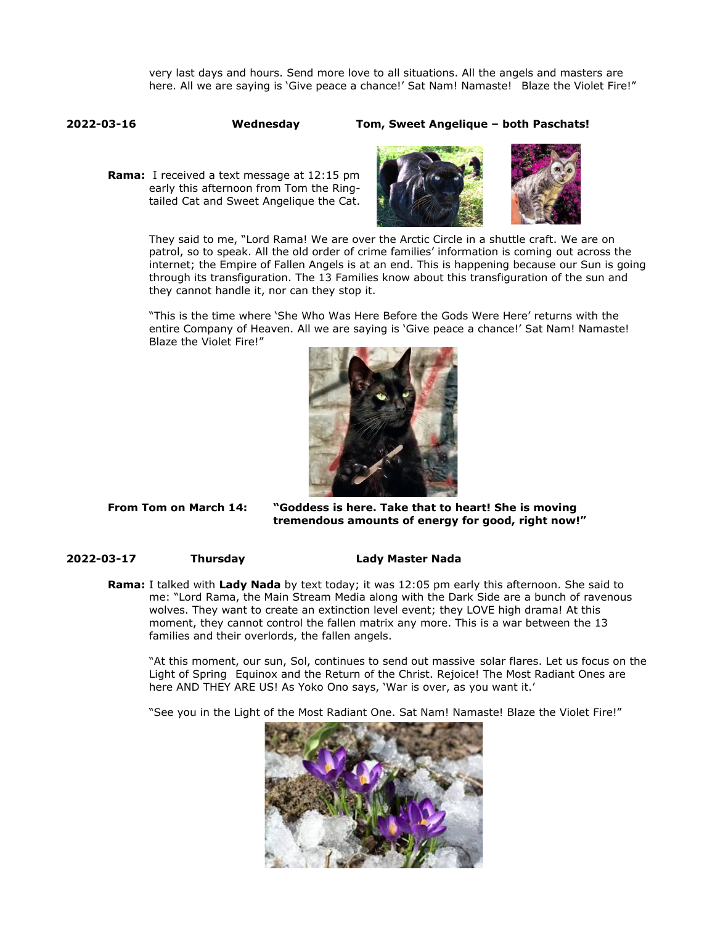very last days and hours. Send more love to all situations. All the angels and masters are here. All we are saying is 'Give peace a chance!' Sat Nam! Namaste! Blaze the Violet Fire!"

**2022-03-16 Wednesday Tom, Sweet Angelique – both Paschats!** 

**Rama:** I received a text message at 12:15 pm early this afternoon from Tom the Ringtailed Cat and Sweet Angelique the Cat.



They said to me, "Lord Rama! We are over the Arctic Circle in a shuttle craft. We are on patrol, so to speak. All the old order of crime families' information is coming out across the internet; the Empire of Fallen Angels is at an end. This is happening because our Sun is going through its transfiguration. The 13 Families know about this transfiguration of the sun and they cannot handle it, nor can they stop it.

"This is the time where 'She Who Was Here Before the Gods Were Here' returns with the entire Company of Heaven. All we are saying is 'Give peace a chance!' Sat Nam! Namaste! Blaze the Violet Fire!"



**From Tom on March 14: "Goddess is here. Take that to heart! She is moving tremendous amounts of energy for good, right now!"**

### **2022-03-17 Thursday Lady Master Nada**

**Rama:** I talked with **Lady Nada** by text today; it was 12:05 pm early this afternoon. She said to me: "Lord Rama, the Main Stream Media along with the Dark Side are a bunch of ravenous wolves. They want to create an extinction level event; they LOVE high drama! At this moment, they cannot control the fallen matrix any more. This is a war between the 13 families and their overlords, the fallen angels.

"At this moment, our sun, Sol, continues to send out massive solar flares. Let us focus on the Light of Spring Equinox and the Return of the Christ. Rejoice! The Most Radiant Ones are here AND THEY ARE US! As Yoko Ono says, 'War is over, as you want it.'

"See you in the Light of the Most Radiant One. Sat Nam! Namaste! Blaze the Violet Fire!"

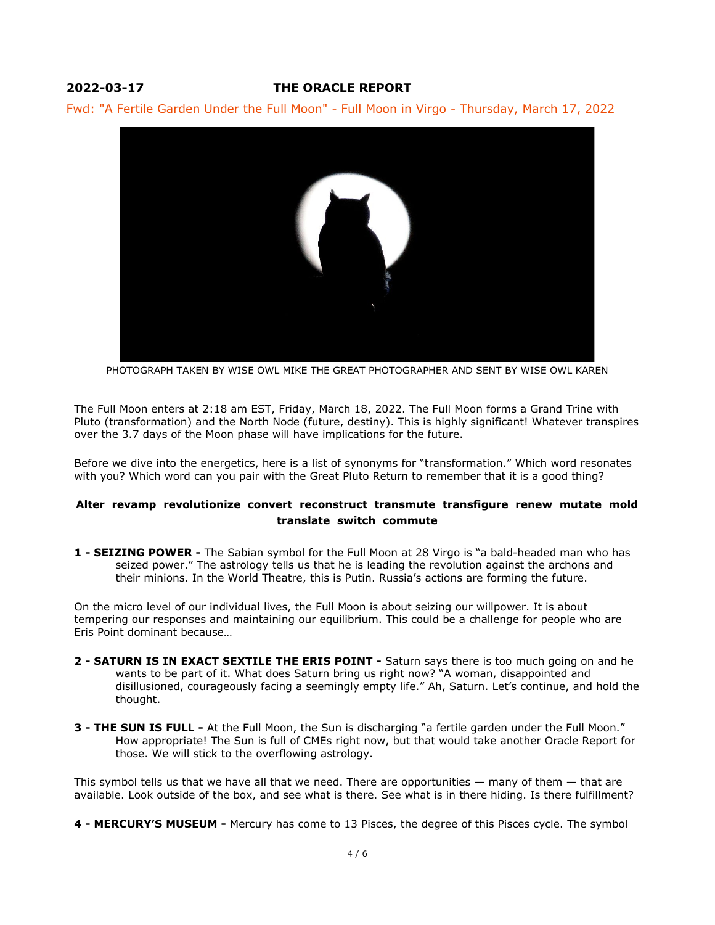# **2022-03-17 THE ORACLE REPORT**

Fwd: "A Fertile Garden Under the Full Moon" - Full Moon in Virgo - Thursday, March 17, 2022



PHOTOGRAPH TAKEN BY WISE OWL MIKE THE GREAT PHOTOGRAPHER AND SENT BY WISE OWL KAREN

The Full Moon enters at 2:18 am EST, Friday, March 18, 2022. The Full Moon forms a Grand Trine with Pluto (transformation) and the North Node (future, destiny). This is highly significant! Whatever transpires over the 3.7 days of the Moon phase will have implications for the future.

Before we dive into the energetics, here is a list of synonyms for "transformation." Which word resonates with you? Which word can you pair with the Great Pluto Return to remember that it is a good thing?

## **Alter revamp revolutionize convert reconstruct transmute transfigure renew mutate mold translate switch commute**

**1 - SEIZING POWER -** The Sabian symbol for the Full Moon at 28 Virgo is "a bald-headed man who has seized power." The astrology tells us that he is leading the revolution against the archons and their minions. In the World Theatre, this is Putin. Russia's actions are forming the future.

On the micro level of our individual lives, the Full Moon is about seizing our willpower. It is about tempering our responses and maintaining our equilibrium. This could be a challenge for people who are Eris Point dominant because…

- **2 SATURN IS IN EXACT SEXTILE THE ERIS POINT -** Saturn says there is too much going on and he wants to be part of it. What does Saturn bring us right now? "A woman, disappointed and disillusioned, courageously facing a seemingly empty life." Ah, Saturn. Let's continue, and hold the thought.
- **3 THE SUN IS FULL -** At the Full Moon, the Sun is discharging "a fertile garden under the Full Moon." How appropriate! The Sun is full of CMEs right now, but that would take another Oracle Report for those. We will stick to the overflowing astrology.

This symbol tells us that we have all that we need. There are opportunities  $-$  many of them  $-$  that are available. Look outside of the box, and see what is there. See what is in there hiding. Is there fulfillment?

**4 - MERCURY'S MUSEUM -** Mercury has come to 13 Pisces, the degree of this Pisces cycle. The symbol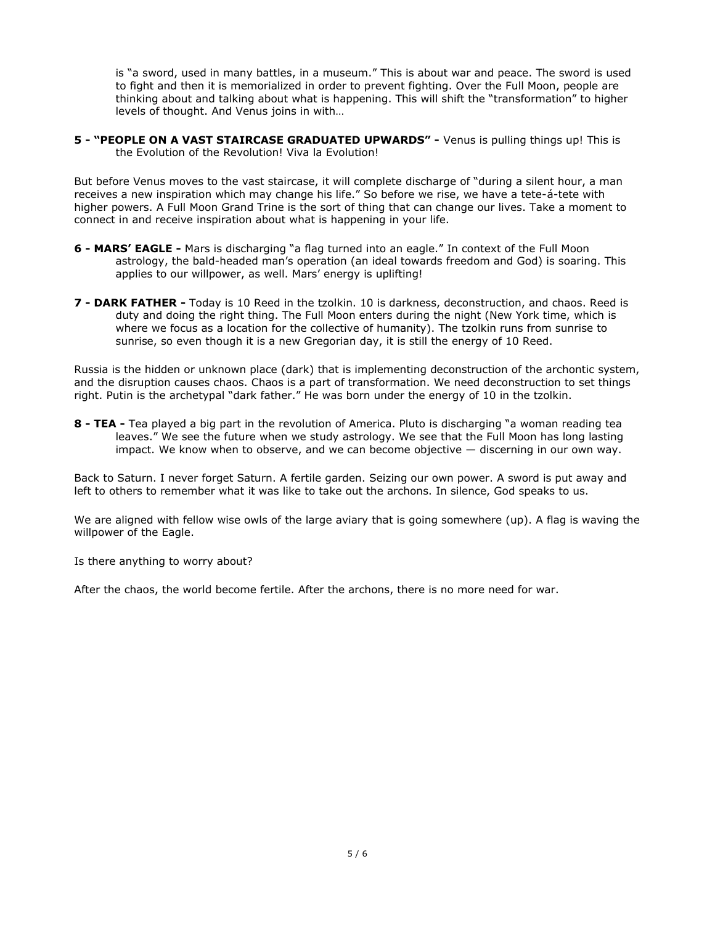is "a sword, used in many battles, in a museum." This is about war and peace. The sword is used to fight and then it is memorialized in order to prevent fighting. Over the Full Moon, people are thinking about and talking about what is happening. This will shift the "transformation" to higher levels of thought. And Venus joins in with…

**5 - "PEOPLE ON A VAST STAIRCASE GRADUATED UPWARDS" -** Venus is pulling things up! This is the Evolution of the Revolution! Viva la Evolution!

But before Venus moves to the vast staircase, it will complete discharge of "during a silent hour, a man receives a new inspiration which may change his life." So before we rise, we have a tete-á-tete with higher powers. A Full Moon Grand Trine is the sort of thing that can change our lives. Take a moment to connect in and receive inspiration about what is happening in your life.

- **6 MARS' EAGLE -** Mars is discharging "a flag turned into an eagle." In context of the Full Moon astrology, the bald-headed man's operation (an ideal towards freedom and God) is soaring. This applies to our willpower, as well. Mars' energy is uplifting!
- **7 DARK FATHER** Today is 10 Reed in the tzolkin. 10 is darkness, deconstruction, and chaos. Reed is duty and doing the right thing. The Full Moon enters during the night (New York time, which is where we focus as a location for the collective of humanity). The tzolkin runs from sunrise to sunrise, so even though it is a new Gregorian day, it is still the energy of 10 Reed.

Russia is the hidden or unknown place (dark) that is implementing deconstruction of the archontic system, and the disruption causes chaos. Chaos is a part of transformation. We need deconstruction to set things right. Putin is the archetypal "dark father." He was born under the energy of 10 in the tzolkin.

**8 - TEA -** Tea played a big part in the revolution of America. Pluto is discharging "a woman reading tea leaves." We see the future when we study astrology. We see that the Full Moon has long lasting impact. We know when to observe, and we can become objective — discerning in our own way.

Back to Saturn. I never forget Saturn. A fertile garden. Seizing our own power. A sword is put away and left to others to remember what it was like to take out the archons. In silence, God speaks to us.

We are aligned with fellow wise owls of the large aviary that is going somewhere (up). A flag is waving the willpower of the Eagle.

Is there anything to worry about?

After the chaos, the world become fertile. After the archons, there is no more need for war.